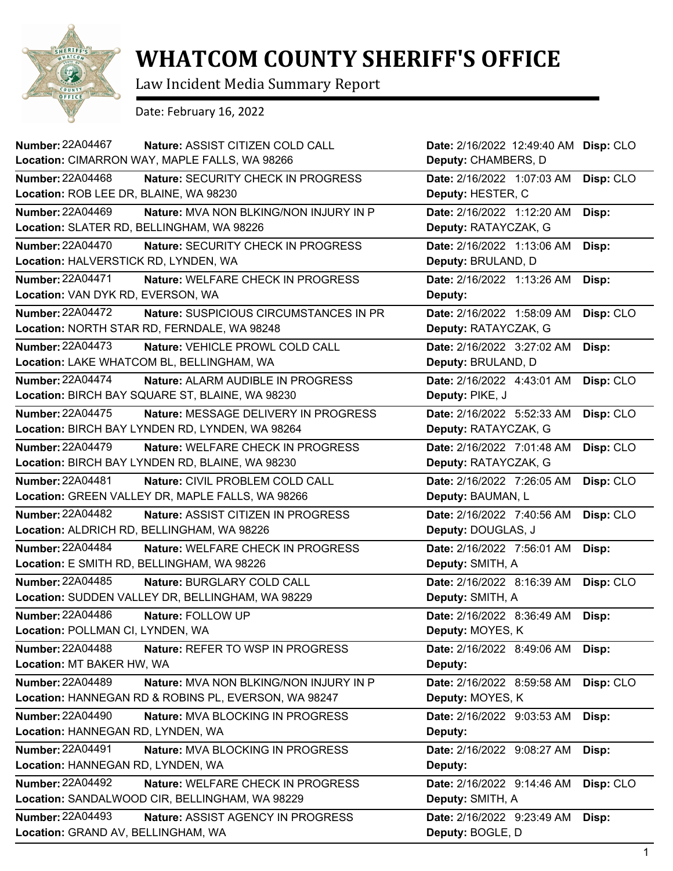

## **WHATCOM COUNTY SHERIFF'S OFFICE**

Law Incident Media Summary Report

Date: February 16, 2022

| <b>Number: 22A04467</b><br>Nature: ASSIST CITIZEN COLD CALL        | Date: 2/16/2022 12:49:40 AM | Disp: CLO |
|--------------------------------------------------------------------|-----------------------------|-----------|
| Location: CIMARRON WAY, MAPLE FALLS, WA 98266                      | Deputy: CHAMBERS, D         |           |
| <b>Number: 22A04468</b><br>Nature: SECURITY CHECK IN PROGRESS      | Date: 2/16/2022 1:07:03 AM  | Disp: CLO |
| Location: ROB LEE DR, BLAINE, WA 98230                             | Deputy: HESTER, C           |           |
| <b>Number: 22A04469</b><br>Nature: MVA NON BLKING/NON INJURY IN P  | Date: 2/16/2022 1:12:20 AM  | Disp:     |
| Location: SLATER RD, BELLINGHAM, WA 98226                          | Deputy: RATAYCZAK, G        |           |
| <b>Number: 22A04470</b><br>Nature: SECURITY CHECK IN PROGRESS      | Date: 2/16/2022 1:13:06 AM  | Disp:     |
| Location: HALVERSTICK RD, LYNDEN, WA                               | Deputy: BRULAND, D          |           |
| <b>Number: 22A04471</b><br>Nature: WELFARE CHECK IN PROGRESS       | Date: 2/16/2022 1:13:26 AM  | Disp:     |
| Location: VAN DYK RD, EVERSON, WA                                  | Deputy:                     |           |
| Number: 22A04472<br>Nature: SUSPICIOUS CIRCUMSTANCES IN PR         | Date: 2/16/2022 1:58:09 AM  | Disp: CLO |
| Location: NORTH STAR RD, FERNDALE, WA 98248                        | Deputy: RATAYCZAK, G        |           |
| <b>Number: 22A04473</b><br>Nature: VEHICLE PROWL COLD CALL         | Date: 2/16/2022 3:27:02 AM  | Disp:     |
| Location: LAKE WHATCOM BL, BELLINGHAM, WA                          | Deputy: BRULAND, D          |           |
| <b>Number: 22A04474</b><br>Nature: ALARM AUDIBLE IN PROGRESS       | Date: 2/16/2022 4:43:01 AM  | Disp: CLO |
| Location: BIRCH BAY SQUARE ST, BLAINE, WA 98230                    | Deputy: PIKE, J             |           |
| <b>Number: 22A04475</b><br>Nature: MESSAGE DELIVERY IN PROGRESS    | Date: 2/16/2022 5:52:33 AM  | Disp: CLO |
| Location: BIRCH BAY LYNDEN RD, LYNDEN, WA 98264                    | Deputy: RATAYCZAK, G        |           |
| <b>Number: 22A04479</b><br>Nature: WELFARE CHECK IN PROGRESS       | Date: 2/16/2022 7:01:48 AM  | Disp: CLO |
| Location: BIRCH BAY LYNDEN RD, BLAINE, WA 98230                    | Deputy: RATAYCZAK, G        |           |
| <b>Number: 22A04481</b><br>Nature: CIVIL PROBLEM COLD CALL         | Date: 2/16/2022 7:26:05 AM  | Disp: CLO |
| Location: GREEN VALLEY DR, MAPLE FALLS, WA 98266                   | Deputy: BAUMAN, L           |           |
| <b>Number: 22A04482</b><br>Nature: ASSIST CITIZEN IN PROGRESS      | Date: 2/16/2022 7:40:56 AM  | Disp: CLO |
| Location: ALDRICH RD, BELLINGHAM, WA 98226                         | Deputy: DOUGLAS, J          |           |
| <b>Number: 22A04484</b><br>Nature: WELFARE CHECK IN PROGRESS       | Date: 2/16/2022 7:56:01 AM  | Disp:     |
| Location: E SMITH RD, BELLINGHAM, WA 98226                         | Deputy: SMITH, A            |           |
| <b>Number: 22A04485</b><br>Nature: BURGLARY COLD CALL              | Date: 2/16/2022 8:16:39 AM  | Disp: CLO |
| Location: SUDDEN VALLEY DR, BELLINGHAM, WA 98229                   | Deputy: SMITH, A            |           |
| <b>Number: 22A04486</b><br>Nature: FOLLOW UP                       | Date: 2/16/2022 8:36:49 AM  | Disp:     |
| Location: POLLMAN CI, LYNDEN, WA                                   | Deputy: MOYES, K            |           |
| <b>Number: 22A04488</b><br><b>Nature: REFER TO WSP IN PROGRESS</b> | Date: 2/16/2022 8:49:06 AM  | Disp:     |
| Location: MT BAKER HW, WA                                          | Deputy:                     |           |
| Number: 22A04489<br>Nature: MVA NON BLKING/NON INJURY IN P         | Date: 2/16/2022 8:59:58 AM  | Disp: CLO |
| Location: HANNEGAN RD & ROBINS PL, EVERSON, WA 98247               | Deputy: MOYES, K            |           |
| <b>Number: 22A04490</b><br>Nature: MVA BLOCKING IN PROGRESS        | Date: 2/16/2022 9:03:53 AM  | Disp:     |
| Location: HANNEGAN RD, LYNDEN, WA                                  | Deputy:                     |           |
| <b>Number: 22A04491</b><br>Nature: MVA BLOCKING IN PROGRESS        | Date: 2/16/2022 9:08:27 AM  | Disp:     |
| Location: HANNEGAN RD, LYNDEN, WA                                  | Deputy:                     |           |
| <b>Number: 22A04492</b><br>Nature: WELFARE CHECK IN PROGRESS       | Date: 2/16/2022 9:14:46 AM  | Disp: CLO |
| Location: SANDALWOOD CIR, BELLINGHAM, WA 98229                     | Deputy: SMITH, A            |           |
| <b>Number: 22A04493</b><br>Nature: ASSIST AGENCY IN PROGRESS       | Date: 2/16/2022 9:23:49 AM  | Disp:     |
| Location: GRAND AV, BELLINGHAM, WA                                 | Deputy: BOGLE, D            |           |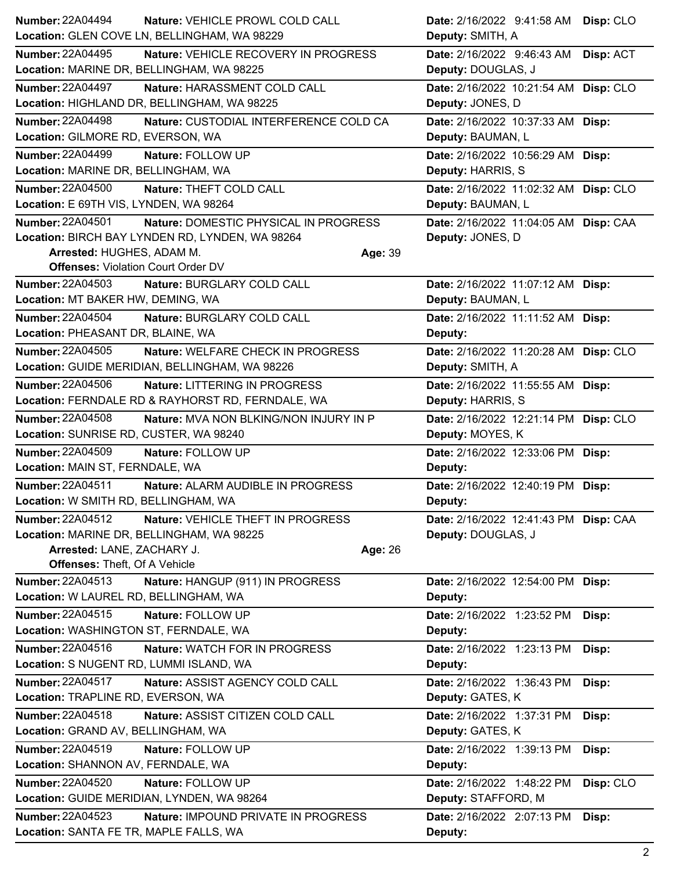| <b>Number: 22A04494</b><br>Nature: VEHICLE PROWL COLD CALL                     | Date: 2/16/2022 9:41:58 AM Disp: CLO    |
|--------------------------------------------------------------------------------|-----------------------------------------|
| Location: GLEN COVE LN, BELLINGHAM, WA 98229                                   | Deputy: SMITH, A                        |
| <b>Number: 22A04495</b><br>Nature: VEHICLE RECOVERY IN PROGRESS                | Date: 2/16/2022 9:46:43 AM<br>Disp: ACT |
| Location: MARINE DR, BELLINGHAM, WA 98225                                      | Deputy: DOUGLAS, J                      |
| <b>Number: 22A04497</b><br>Nature: HARASSMENT COLD CALL                        | Date: 2/16/2022 10:21:54 AM Disp: CLO   |
| Location: HIGHLAND DR, BELLINGHAM, WA 98225                                    | Deputy: JONES, D                        |
| <b>Number: 22A04498</b><br>Nature: CUSTODIAL INTERFERENCE COLD CA              | Date: 2/16/2022 10:37:33 AM Disp:       |
| Location: GILMORE RD, EVERSON, WA                                              | Deputy: BAUMAN, L                       |
| <b>Number: 22A04499</b><br>Nature: FOLLOW UP                                   | Date: 2/16/2022 10:56:29 AM Disp:       |
| Location: MARINE DR, BELLINGHAM, WA                                            | Deputy: HARRIS, S                       |
| <b>Number: 22A04500</b><br>Nature: THEFT COLD CALL                             | Date: 2/16/2022 11:02:32 AM Disp: CLO   |
| Location: E 69TH VIS, LYNDEN, WA 98264                                         | Deputy: BAUMAN, L                       |
| Number: 22A04501<br>Nature: DOMESTIC PHYSICAL IN PROGRESS                      | Date: 2/16/2022 11:04:05 AM Disp: CAA   |
| Location: BIRCH BAY LYNDEN RD, LYNDEN, WA 98264                                | Deputy: JONES, D                        |
| Arrested: HUGHES, ADAM M.<br>Age: 39                                           |                                         |
| <b>Offenses: Violation Court Order DV</b>                                      |                                         |
| <b>Number: 22A04503</b><br>Nature: BURGLARY COLD CALL                          | Date: 2/16/2022 11:07:12 AM Disp:       |
| Location: MT BAKER HW, DEMING, WA                                              | Deputy: BAUMAN, L                       |
| <b>Number: 22A04504</b><br>Nature: BURGLARY COLD CALL                          | Date: 2/16/2022 11:11:52 AM Disp:       |
| Location: PHEASANT DR, BLAINE, WA                                              | Deputy:                                 |
| <b>Number: 22A04505</b><br><b>Nature: WELFARE CHECK IN PROGRESS</b>            | Date: 2/16/2022 11:20:28 AM Disp: CLO   |
| Location: GUIDE MERIDIAN, BELLINGHAM, WA 98226                                 | Deputy: SMITH, A                        |
| Number: 22A04506<br>Nature: LITTERING IN PROGRESS                              | Date: 2/16/2022 11:55:55 AM Disp:       |
| Location: FERNDALE RD & RAYHORST RD, FERNDALE, WA                              | Deputy: HARRIS, S                       |
| <b>Number: 22A04508</b><br>Nature: MVA NON BLKING/NON INJURY IN P              | Date: 2/16/2022 12:21:14 PM Disp: CLO   |
| Location: SUNRISE RD, CUSTER, WA 98240                                         | Deputy: MOYES, K                        |
| <b>Number: 22A04509</b><br>Nature: FOLLOW UP                                   | Date: 2/16/2022 12:33:06 PM Disp:       |
| Location: MAIN ST, FERNDALE, WA                                                | Deputy:                                 |
| <b>Number: 22A04511</b><br>Nature: ALARM AUDIBLE IN PROGRESS                   | Date: 2/16/2022 12:40:19 PM Disp:       |
| Location: W SMITH RD, BELLINGHAM, WA                                           | Deputy:                                 |
| <b>Number: 22A04512</b><br>Nature: VEHICLE THEFT IN PROGRESS                   | Date: 2/16/2022 12:41:43 PM Disp: CAA   |
| Location: MARINE DR, BELLINGHAM, WA 98225                                      | Deputy: DOUGLAS, J                      |
| Arrested: LANE, ZACHARY J.<br>Age: 26                                          |                                         |
| Offenses: Theft, Of A Vehicle                                                  |                                         |
| Number: 22A04513<br>Nature: HANGUP (911) IN PROGRESS                           | Date: 2/16/2022 12:54:00 PM Disp:       |
| Location: W LAUREL RD, BELLINGHAM, WA                                          | Deputy:                                 |
| Number: 22A04515<br>Nature: FOLLOW UP<br>Location: WASHINGTON ST, FERNDALE, WA | Date: 2/16/2022 1:23:52 PM<br>Disp:     |
|                                                                                | Deputy:                                 |
| Number: 22A04516<br><b>Nature: WATCH FOR IN PROGRESS</b>                       | Date: 2/16/2022 1:23:13 PM<br>Disp:     |
| Location: S NUGENT RD, LUMMI ISLAND, WA                                        | Deputy:                                 |
| <b>Number: 22A04517</b><br>Nature: ASSIST AGENCY COLD CALL                     | Date: 2/16/2022 1:36:43 PM<br>Disp:     |
| Location: TRAPLINE RD, EVERSON, WA                                             | Deputy: GATES, K                        |
| Number: 22A04518<br>Nature: ASSIST CITIZEN COLD CALL                           | Date: 2/16/2022 1:37:31 PM<br>Disp:     |
| Location: GRAND AV, BELLINGHAM, WA                                             | Deputy: GATES, K                        |
| Number: 22A04519<br>Nature: FOLLOW UP                                          | Date: 2/16/2022 1:39:13 PM<br>Disp:     |
| Location: SHANNON AV, FERNDALE, WA                                             | Deputy:                                 |
| <b>Number: 22A04520</b><br>Nature: FOLLOW UP                                   | Disp: CLO<br>Date: 2/16/2022 1:48:22 PM |
| Location: GUIDE MERIDIAN, LYNDEN, WA 98264                                     | Deputy: STAFFORD, M                     |
| Number: 22A04523<br>Nature: IMPOUND PRIVATE IN PROGRESS                        | Date: 2/16/2022 2:07:13 PM<br>Disp:     |
| Location: SANTA FE TR, MAPLE FALLS, WA                                         | Deputy:                                 |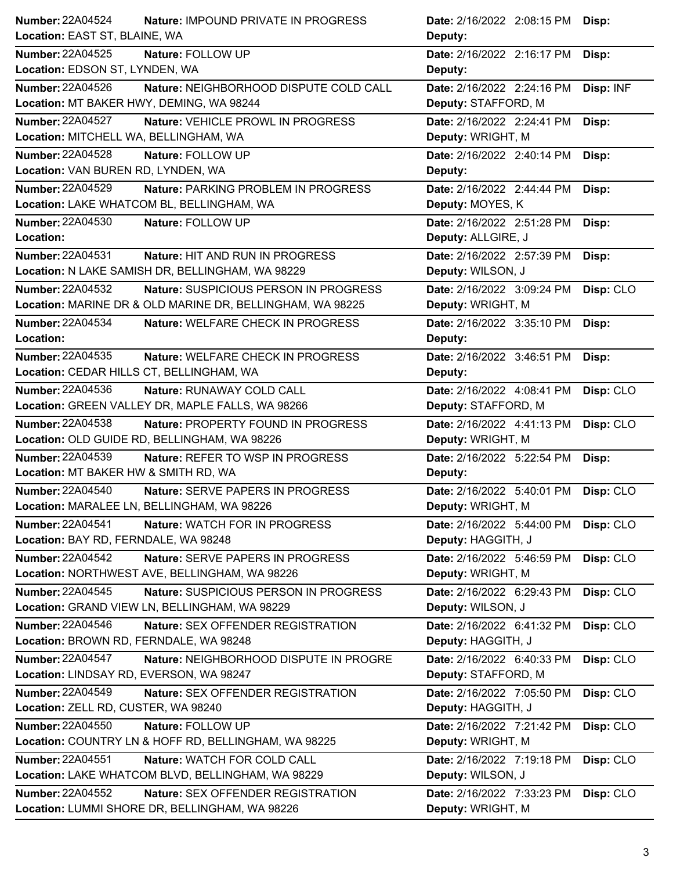| <b>Number: 22A04524</b><br>Nature: IMPOUND PRIVATE IN PROGRESS    | Date: 2/16/2022 2:08:15 PM Disp:        |
|-------------------------------------------------------------------|-----------------------------------------|
| Location: EAST ST, BLAINE, WA                                     | Deputy:                                 |
| <b>Number: 22A04525</b><br>Nature: FOLLOW UP                      | Date: 2/16/2022 2:16:17 PM<br>Disp:     |
| Location: EDSON ST, LYNDEN, WA                                    | Deputy:                                 |
| <b>Number: 22A04526</b><br>Nature: NEIGHBORHOOD DISPUTE COLD CALL | Date: 2/16/2022 2:24:16 PM<br>Disp: INF |
| Location: MT BAKER HWY, DEMING, WA 98244                          | Deputy: STAFFORD, M                     |
| <b>Number: 22A04527</b><br>Nature: VEHICLE PROWL IN PROGRESS      | Date: 2/16/2022 2:24:41 PM<br>Disp:     |
| Location: MITCHELL WA, BELLINGHAM, WA                             | Deputy: WRIGHT, M                       |
| Number: 22A04528<br>Nature: FOLLOW UP                             | Date: 2/16/2022 2:40:14 PM<br>Disp:     |
| Location: VAN BUREN RD, LYNDEN, WA                                | Deputy:                                 |
| Number: 22A04529<br>Nature: PARKING PROBLEM IN PROGRESS           | Date: 2/16/2022 2:44:44 PM<br>Disp:     |
| Location: LAKE WHATCOM BL, BELLINGHAM, WA                         | Deputy: MOYES, K                        |
| <b>Number: 22A04530</b><br>Nature: FOLLOW UP                      | Date: 2/16/2022 2:51:28 PM<br>Disp:     |
| Location:                                                         | Deputy: ALLGIRE, J                      |
| <b>Number: 22A04531</b><br><b>Nature: HIT AND RUN IN PROGRESS</b> | Date: 2/16/2022 2:57:39 PM<br>Disp:     |
| Location: N LAKE SAMISH DR, BELLINGHAM, WA 98229                  | Deputy: WILSON, J                       |
| <b>Number: 22A04532</b><br>Nature: SUSPICIOUS PERSON IN PROGRESS  | Date: 2/16/2022 3:09:24 PM<br>Disp: CLO |
| Location: MARINE DR & OLD MARINE DR, BELLINGHAM, WA 98225         | Deputy: WRIGHT, M                       |
| Number: 22A04534<br>Nature: WELFARE CHECK IN PROGRESS             | Date: 2/16/2022 3:35:10 PM<br>Disp:     |
| Location:                                                         | Deputy:                                 |
| <b>Number: 22A04535</b><br>Nature: WELFARE CHECK IN PROGRESS      | Date: 2/16/2022 3:46:51 PM<br>Disp:     |
| Location: CEDAR HILLS CT, BELLINGHAM, WA                          | Deputy:                                 |
| Number: 22A04536<br>Nature: RUNAWAY COLD CALL                     | Date: 2/16/2022 4:08:41 PM<br>Disp: CLO |
| Location: GREEN VALLEY DR, MAPLE FALLS, WA 98266                  | Deputy: STAFFORD, M                     |
| <b>Number: 22A04538</b><br>Nature: PROPERTY FOUND IN PROGRESS     | Date: 2/16/2022 4:41:13 PM<br>Disp: CLO |
| Location: OLD GUIDE RD, BELLINGHAM, WA 98226                      | Deputy: WRIGHT, M                       |
| Number: 22A04539<br>Nature: REFER TO WSP IN PROGRESS              | Date: 2/16/2022 5:22:54 PM<br>Disp:     |
| Location: MT BAKER HW & SMITH RD, WA                              | Deputy:                                 |
| <b>Number: 22A04540</b><br>Nature: SERVE PAPERS IN PROGRESS       | Date: 2/16/2022 5:40:01 PM Disp: CLO    |
| Location: MARALEE LN, BELLINGHAM, WA 98226                        | Deputy: WRIGHT, M                       |
| <b>Number: 22A04541</b><br>Nature: WATCH FOR IN PROGRESS          | Date: 2/16/2022 5:44:00 PM<br>Disp: CLO |
| Location: BAY RD, FERNDALE, WA 98248                              | Deputy: HAGGITH, J                      |
| Number: 22A04542<br>Nature: SERVE PAPERS IN PROGRESS              | Disp: CLO<br>Date: 2/16/2022 5:46:59 PM |
| Location: NORTHWEST AVE, BELLINGHAM, WA 98226                     | Deputy: WRIGHT, M                       |
| Number: 22A04545<br>Nature: SUSPICIOUS PERSON IN PROGRESS         | Date: 2/16/2022 6:29:43 PM<br>Disp: CLO |
| Location: GRAND VIEW LN, BELLINGHAM, WA 98229                     | Deputy: WILSON, J                       |
| <b>Number: 22A04546</b><br>Nature: SEX OFFENDER REGISTRATION      | Date: 2/16/2022 6:41:32 PM<br>Disp: CLO |
| Location: BROWN RD, FERNDALE, WA 98248                            | Deputy: HAGGITH, J                      |
| Number: 22A04547<br>Nature: NEIGHBORHOOD DISPUTE IN PROGRE        | Date: 2/16/2022 6:40:33 PM<br>Disp: CLO |
| Location: LINDSAY RD, EVERSON, WA 98247                           | Deputy: STAFFORD, M                     |
| Number: 22A04549<br>Nature: SEX OFFENDER REGISTRATION             | Date: 2/16/2022 7:05:50 PM<br>Disp: CLO |
| Location: ZELL RD, CUSTER, WA 98240                               | Deputy: HAGGITH, J                      |
| Number: 22A04550<br>Nature: FOLLOW UP                             | Disp: CLO<br>Date: 2/16/2022 7:21:42 PM |
| Location: COUNTRY LN & HOFF RD, BELLINGHAM, WA 98225              | Deputy: WRIGHT, M                       |
| <b>Number: 22A04551</b><br>Nature: WATCH FOR COLD CALL            | Date: 2/16/2022 7:19:18 PM<br>Disp: CLO |
| Location: LAKE WHATCOM BLVD, BELLINGHAM, WA 98229                 | Deputy: WILSON, J                       |
| <b>Number: 22A04552</b><br>Nature: SEX OFFENDER REGISTRATION      | Date: 2/16/2022 7:33:23 PM<br>Disp: CLO |
| Location: LUMMI SHORE DR, BELLINGHAM, WA 98226                    | Deputy: WRIGHT, M                       |